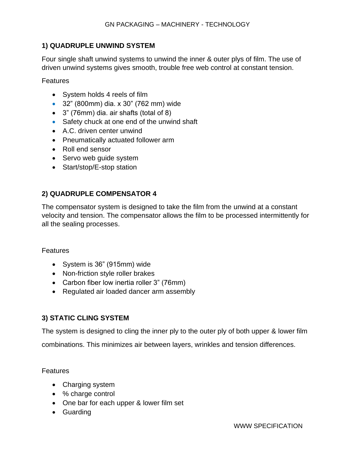# **1) QUADRUPLE UNWIND SYSTEM**

Four single shaft unwind systems to unwind the inner & outer plys of film. The use of driven unwind systems gives smooth, trouble free web control at constant tension.

Features

- System holds 4 reels of film
- 32" (800mm) dia. x 30" (762 mm) wide
- 3" (76mm) dia. air shafts (total of 8)
- Safety chuck at one end of the unwind shaft
- A.C. driven center unwind
- Pneumatically actuated follower arm
- Roll end sensor
- Servo web quide system
- Start/stop/E-stop station

# **2) QUADRUPLE COMPENSATOR 4**

The compensator system is designed to take the film from the unwind at a constant velocity and tension. The compensator allows the film to be processed intermittently for all the sealing processes.

Features

- System is 36" (915mm) wide
- Non-friction style roller brakes
- Carbon fiber low inertia roller 3" (76mm)
- Regulated air loaded dancer arm assembly

# **3) STATIC CLING SYSTEM**

The system is designed to cling the inner ply to the outer ply of both upper & lower film

combinations. This minimizes air between layers, wrinkles and tension differences.

- Charging system
- % charge control
- One bar for each upper & lower film set
- Guarding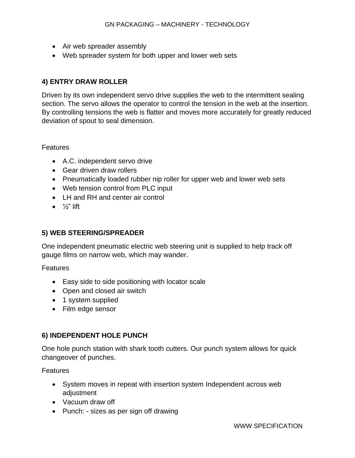- Air web spreader assembly
- Web spreader system for both upper and lower web sets

## **4) ENTRY DRAW ROLLER**

Driven by its own independent servo drive supplies the web to the intermittent sealing section. The servo allows the operator to control the tension in the web at the insertion. By controlling tensions the web is flatter and moves more accurately for greatly reduced deviation of spout to seal dimension.

### Features

- A.C. independent servo drive
- Gear driven draw rollers
- Pneumatically loaded rubber nip roller for upper web and lower web sets
- Web tension control from PLC input
- LH and RH and center air control
- $\frac{1}{2}$ " lift

## **5) WEB STEERING/SPREADER**

One independent pneumatic electric web steering unit is supplied to help track off gauge films on narrow web, which may wander.

Features

- Easy side to side positioning with locator scale
- Open and closed air switch
- 1 system supplied
- Film edge sensor

## **6) INDEPENDENT HOLE PUNCH**

One hole punch station with shark tooth cutters. Our punch system allows for quick changeover of punches.

- System moves in repeat with insertion system Independent across web adjustment
- Vacuum draw off
- Punch: sizes as per sign off drawing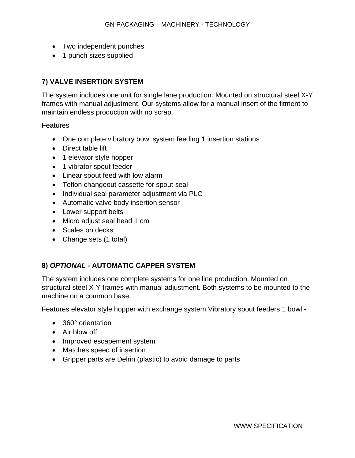- Two independent punches
- 1 punch sizes supplied

## **7) VALVE INSERTION SYSTEM**

The system includes one unit for single lane production. Mounted on structural steel X-Y frames with manual adjustment. Our systems allow for a manual insert of the fitment to maintain endless production with no scrap.

**Features** 

- One complete vibratory bowl system feeding 1 insertion stations
- Direct table lift
- 1 elevator style hopper
- 1 vibrator spout feeder
- Linear spout feed with low alarm
- Teflon changeout cassette for spout seal
- Individual seal parameter adjustment via PLC
- Automatic valve body insertion sensor
- Lower support belts
- Micro adjust seal head 1 cm
- Scales on decks
- Change sets (1 total)

## **8)** *OPTIONAL -* **AUTOMATIC CAPPER SYSTEM**

The system includes one complete systems for one line production. Mounted on structural steel X-Y frames with manual adjustment. Both systems to be mounted to the machine on a common base.

Features elevator style hopper with exchange system Vibratory spout feeders 1 bowl -

- 360° orientation
- Air blow off
- Improved escapement system
- Matches speed of insertion
- Gripper parts are Delrin (plastic) to avoid damage to parts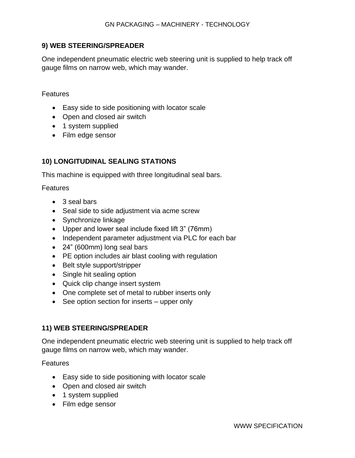### **9) WEB STEERING/SPREADER**

One independent pneumatic electric web steering unit is supplied to help track off gauge films on narrow web, which may wander.

#### Features

- Easy side to side positioning with locator scale
- Open and closed air switch
- 1 system supplied
- Film edge sensor

### **10) LONGITUDINAL SEALING STATIONS**

This machine is equipped with three longitudinal seal bars.

#### Features

- 3 seal bars
- Seal side to side adjustment via acme screw
- Synchronize linkage
- Upper and lower seal include fixed lift 3" (76mm)
- Independent parameter adjustment via PLC for each bar
- 24" (600mm) long seal bars
- PE option includes air blast cooling with regulation
- Belt style support/stripper
- Single hit sealing option
- Quick clip change insert system
- One complete set of metal to rubber inserts only
- See option section for inserts upper only

### **11) WEB STEERING/SPREADER**

One independent pneumatic electric web steering unit is supplied to help track off gauge films on narrow web, which may wander.

- Easy side to side positioning with locator scale
- Open and closed air switch
- 1 system supplied
- Film edge sensor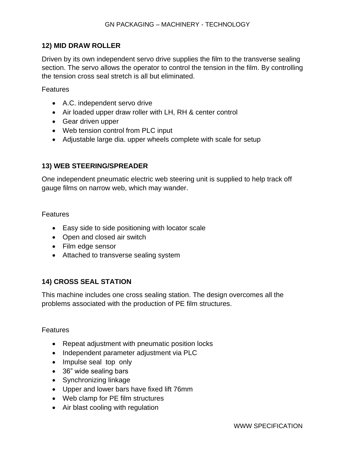### **12) MID DRAW ROLLER**

Driven by its own independent servo drive supplies the film to the transverse sealing section. The servo allows the operator to control the tension in the film. By controlling the tension cross seal stretch is all but eliminated.

Features

- A.C. independent servo drive
- Air loaded upper draw roller with LH, RH & center control
- Gear driven upper
- Web tension control from PLC input
- Adjustable large dia. upper wheels complete with scale for setup

### **13) WEB STEERING/SPREADER**

One independent pneumatic electric web steering unit is supplied to help track off gauge films on narrow web, which may wander.

### Features

- Easy side to side positioning with locator scale
- Open and closed air switch
- Film edge sensor
- Attached to transverse sealing system

## **14) CROSS SEAL STATION**

This machine includes one cross sealing station. The design overcomes all the problems associated with the production of PE film structures.

- Repeat adjustment with pneumatic position locks
- Independent parameter adjustment via PLC
- Impulse seal top only
- 36" wide sealing bars
- Synchronizing linkage
- Upper and lower bars have fixed lift 76mm
- Web clamp for PE film structures
- Air blast cooling with regulation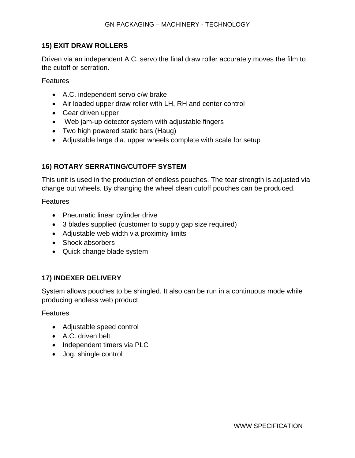### **15) EXIT DRAW ROLLERS**

Driven via an independent A.C. servo the final draw roller accurately moves the film to the cutoff or serration.

**Features** 

- A.C. independent servo c/w brake
- Air loaded upper draw roller with LH, RH and center control
- Gear driven upper
- Web jam-up detector system with adjustable fingers
- Two high powered static bars (Haug)
- Adjustable large dia. upper wheels complete with scale for setup

## **16) ROTARY SERRATING/CUTOFF SYSTEM**

This unit is used in the production of endless pouches. The tear strength is adjusted via change out wheels. By changing the wheel clean cutoff pouches can be produced.

Features

- Pneumatic linear cylinder drive
- 3 blades supplied (customer to supply gap size required)
- Adjustable web width via proximity limits
- Shock absorbers
- Quick change blade system

## **17) INDEXER DELIVERY**

System allows pouches to be shingled. It also can be run in a continuous mode while producing endless web product.

- Adjustable speed control
- A.C. driven belt
- Independent timers via PLC
- Jog, shingle control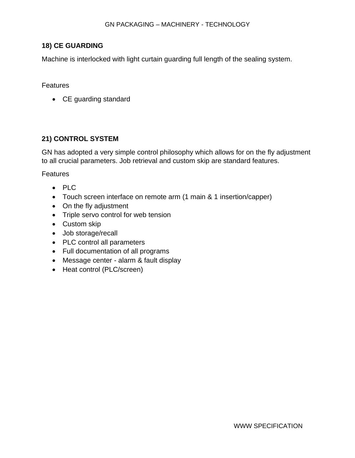#### **18) CE GUARDING**

Machine is interlocked with light curtain guarding full length of the sealing system.

#### **Features**

• CE guarding standard

### **21) CONTROL SYSTEM**

GN has adopted a very simple control philosophy which allows for on the fly adjustment to all crucial parameters. Job retrieval and custom skip are standard features.

- PLC
- Touch screen interface on remote arm (1 main & 1 insertion/capper)
- On the fly adjustment
- Triple servo control for web tension
- Custom skip
- Job storage/recall
- PLC control all parameters
- Full documentation of all programs
- Message center alarm & fault display
- Heat control (PLC/screen)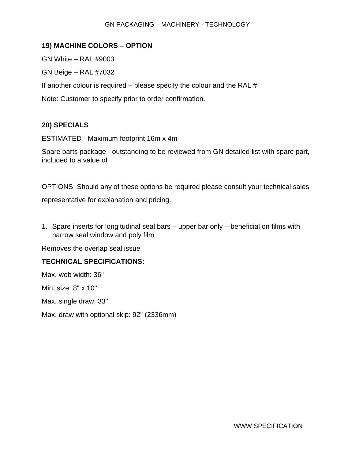#### GN PACKAGING – MACHINERY - TECHNOLOGY

#### **19) MACHINE COLORS – OPTION**

GN White – RAL #9003

GN Beige – RAL #7032

If another colour is required – please specify the colour and the RAL  $#$ 

Note: Customer to specify prior to order confirmation.

### **20) SPECIALS**

ESTIMATED - Maximum footprint 16m x 4m

Spare parts package - outstanding to be reviewed from GN detailed list with spare part, included to a value of

OPTIONS: Should any of these options be required please consult your technical sales

representative for explanation and pricing.

1. Spare inserts for longitudinal seal bars – upper bar only – beneficial on films with narrow seal window and poly film

Removes the overlap seal issue

### **TECHNICAL SPECIFICATIONS:**

Max. web width: 36"

Min. size: 8" x 10"

Max. single draw: 33"

Max. draw with optional skip: 92" (2336mm)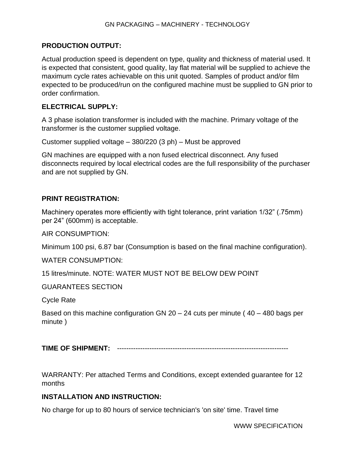### **PRODUCTION OUTPUT:**

Actual production speed is dependent on type, quality and thickness of material used. It is expected that consistent, good quality, lay flat material will be supplied to achieve the maximum cycle rates achievable on this unit quoted. Samples of product and/or film expected to be produced/run on the configured machine must be supplied to GN prior to order confirmation.

#### **ELECTRICAL SUPPLY:**

A 3 phase isolation transformer is included with the machine. Primary voltage of the transformer is the customer supplied voltage.

Customer supplied voltage – 380/220 (3 ph) – Must be approved

GN machines are equipped with a non fused electrical disconnect. Any fused disconnects required by local electrical codes are the full responsibility of the purchaser and are not supplied by GN.

### **PRINT REGISTRATION:**

Machinery operates more efficiently with tight tolerance, print variation 1/32" (.75mm) per 24" (600mm) is acceptable.

AIR CONSUMPTION:

Minimum 100 psi, 6.87 bar (Consumption is based on the final machine configuration).

WATER CONSUMPTION:

15 litres/minute. NOTE: WATER MUST NOT BE BELOW DEW POINT

GUARANTEES SECTION

Cycle Rate

Based on this machine configuration GN  $20 - 24$  cuts per minute ( $40 - 480$  bags per minute )

**TIME OF SHIPMENT:** --------------------------------------------------------------------------

WARRANTY: Per attached Terms and Conditions, except extended guarantee for 12 months

### **INSTALLATION AND INSTRUCTION:**

No charge for up to 80 hours of service technician's 'on site' time. Travel time

WWW SPECIFICATION